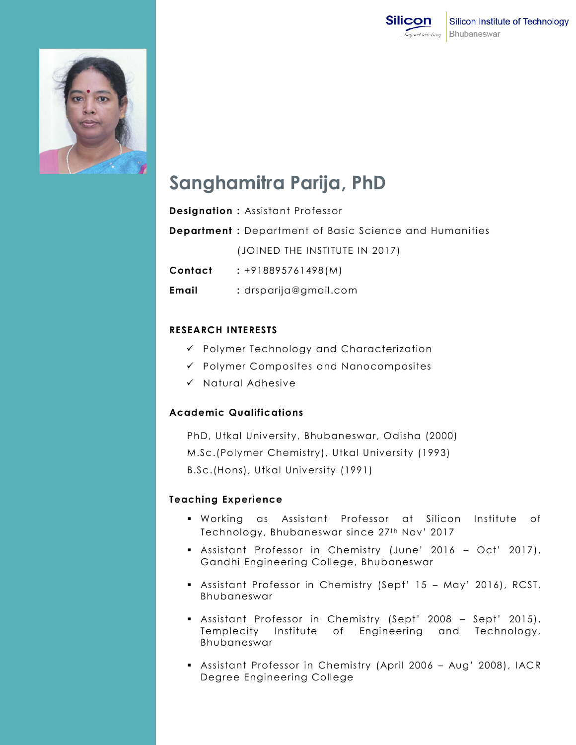



# **Sanghamitra Parija, PhD**

|         | <b>Designation:</b> Assistant Professor                       |
|---------|---------------------------------------------------------------|
|         | <b>Department:</b> Department of Basic Science and Humanities |
|         | (JOINED THE INSTITUTE IN 2017)                                |
| Contact | $: +918895761498(M)$                                          |
| Email   | $:$ drsparija@gmail.com                                       |

## **RESEARCH INTERESTS**

- Polymer Technology and Characterization
- $\checkmark$  Polymer Composites and Nanocomposites
- $\checkmark$  Natural Adhesive

## **Academic Qualifications**

PhD, Utkal University, Bhubaneswar, Odisha (2000) M.Sc.(Polymer Chemistry), Utkal University (1993) B.Sc.(Hons), Utkal University (1991)

## **Teaching Experience**

- Working as Assistant Professor at Silicon Institute of Technology, Bhubaneswar since 27<sup>th</sup> Nov' 2017
- Assistant Professor in Chemistry (June' 2016 Oct' 2017), Gandhi Engineering College, Bhubaneswar
- Assistant Professor in Chemistry (Sept' 15 May' 2016), RCST, Bhubaneswar
- Assistant Professor in Chemistry (Sept' 2008 Sept' 2015), Templecity Institute of Engineering and Technology, Bhubaneswar
- Assistant Professor in Chemistry (April 2006 Aug' 2008), IACR Degree Engineering College